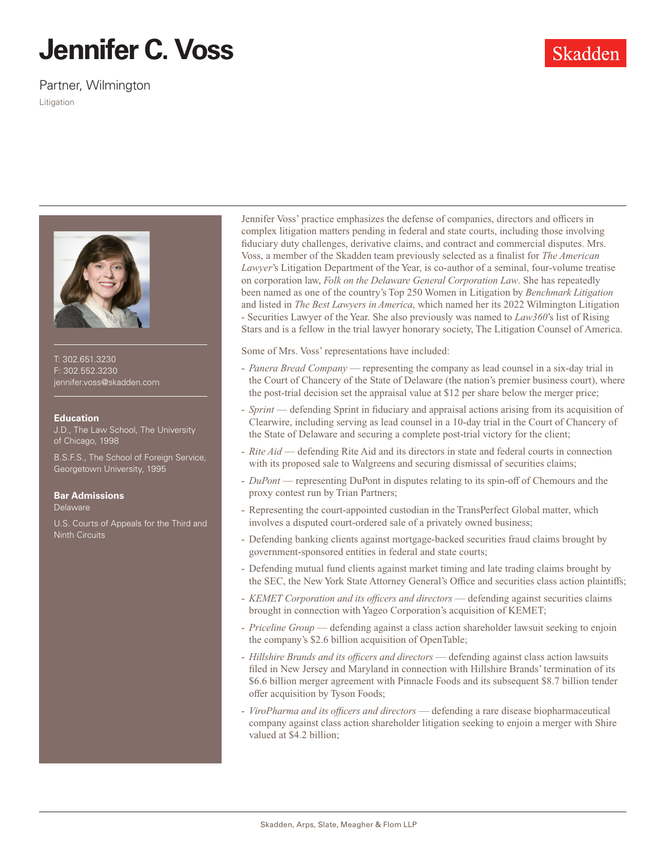# **Jennifer C. Voss**

Partner, Wilmington

Litigation



T: 302.651.3230 F: 302.552.3230 jennifer.voss@skadden.com

### **Education**

J.D., The Law School, The University of Chicago, 1998

B.S.F.S., The School of Foreign Service, Georgetown University, 1995

## **Bar Admissions**

Delaware

U.S. Courts of Appeals for the Third and Ninth Circuits

Jennifer Voss' practice emphasizes the defense of companies, directors and officers in complex litigation matters pending in federal and state courts, including those involving fiduciary duty challenges, derivative claims, and contract and commercial disputes. Mrs. Voss, a member of the Skadden team previously selected as a finalist for *The American Lawyer*'s Litigation Department of the Year, is co-author of a seminal, four-volume treatise on corporation law, *Folk on the Delaware General Corporation Law*. She has repeatedly been named as one of the country's Top 250 Women in Litigation by *Benchmark Litigation* and listed in *The Best Lawyers in America*, which named her its 2022 Wilmington Litigation - Securities Lawyer of the Year. She also previously was named to *Law360*'s list of Rising Stars and is a fellow in the trial lawyer honorary society, The Litigation Counsel of America.

Some of Mrs. Voss' representations have included:

- *Panera Bread Company*  representing the company as lead counsel in a six-day trial in the Court of Chancery of the State of Delaware (the nation's premier business court), where the post-trial decision set the appraisal value at \$12 per share below the merger price;
- *Sprint* defending Sprint in fiduciary and appraisal actions arising from its acquisition of Clearwire, including serving as lead counsel in a 10-day trial in the Court of Chancery of the State of Delaware and securing a complete post-trial victory for the client;
- *Rite Aid*  defending Rite Aid and its directors in state and federal courts in connection with its proposed sale to Walgreens and securing dismissal of securities claims;
- *DuPont* representing DuPont in disputes relating to its spin-off of Chemours and the proxy contest run by Trian Partners;
- Representing the court-appointed custodian in the TransPerfect Global matter, which involves a disputed court-ordered sale of a privately owned business;
- Defending banking clients against mortgage-backed securities fraud claims brought by government-sponsored entities in federal and state courts;
- Defending mutual fund clients against market timing and late trading claims brought by the SEC, the New York State Attorney General's Office and securities class action plaintiffs;
- *KEMET Corporation and its officers and directors* defending against securities claims brought in connection with Yageo Corporation's acquisition of KEMET;
- *Priceline Group* defending against a class action shareholder lawsuit seeking to enjoin the company's \$2.6 billion acquisition of OpenTable;
- *Hillshire Brands and its officers and directors* defending against class action lawsuits filed in New Jersey and Maryland in connection with Hillshire Brands' termination of its \$6.6 billion merger agreement with Pinnacle Foods and its subsequent \$8.7 billion tender offer acquisition by Tyson Foods;
- *ViroPharma and its officers and directors* defending a rare disease biopharmaceutical company against class action shareholder litigation seeking to enjoin a merger with Shire valued at \$4.2 billion;